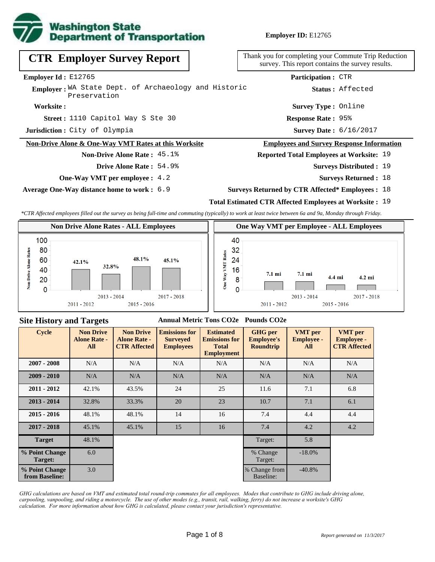

**Employer ID:** E12765

| <b>CTR Employer Survey Report</b>                                    | Thank you for completing your Commute Trip Reduction<br>survey. This report contains the survey results. |
|----------------------------------------------------------------------|----------------------------------------------------------------------------------------------------------|
| <b>Employer Id:</b> $E12765$                                         | <b>Participation: CTR</b>                                                                                |
| Employer: WA State Dept. of Archaeology and Historic<br>Preservation | Status: Affected                                                                                         |
| Worksite:                                                            | <b>Survey Type: Online</b>                                                                               |
| <b>Street:</b> 1110 Capitol Way S Ste 30                             | <b>Response Rate: 95%</b>                                                                                |
| Jurisdiction: City of Olympia                                        | <b>Survey Date: 6/16/2017</b>                                                                            |
| Non-Drive Alone & One-Way VMT Rates at this Worksite                 | <b>Employees and Survey Response Information</b>                                                         |
| <b>Non-Drive Alone Rate: 45.1%</b>                                   | <b>Reported Total Employees at Worksite: 19</b>                                                          |
| Drive Alone Rate: 54.9%                                              | <b>Surveys Distributed : 19</b>                                                                          |
| <b>One-Way VMT per employee :</b> 4.2                                | <b>Surveys Returned : 18</b>                                                                             |
|                                                                      |                                                                                                          |

**Average One-Way distance home to work :** 6.9

**Total Estimated CTR Affected Employees at Worksite :** 19 **Surveys Returned by CTR Affected\* Employees :** 18

*\*CTR Affected employees filled out the survey as being full-time and commuting (typically) to work at least twice between 6a and 9a, Monday through Friday.*



#### **Site History and Targets**

#### **Annual Metric Tons CO2e Pounds CO2e**

| <b>Cycle</b>                     | <b>Non Drive</b><br><b>Alone Rate -</b><br>All | <b>Non Drive</b><br><b>Alone Rate -</b><br><b>CTR Affected</b> | <b>Emissions for</b><br><b>Surveyed</b><br><b>Employees</b> | <b>Estimated</b><br><b>Emissions for</b><br><b>Total</b><br><b>Employment</b> | <b>GHG</b> per<br><b>Employee's</b><br><b>Roundtrip</b> | <b>VMT</b> per<br><b>Employee -</b><br>All | <b>VMT</b> per<br><b>Employee -</b><br><b>CTR Affected</b> |
|----------------------------------|------------------------------------------------|----------------------------------------------------------------|-------------------------------------------------------------|-------------------------------------------------------------------------------|---------------------------------------------------------|--------------------------------------------|------------------------------------------------------------|
| $2007 - 2008$                    | N/A                                            | N/A                                                            | N/A                                                         | N/A                                                                           | N/A                                                     | N/A                                        | N/A                                                        |
| $2009 - 2010$                    | N/A                                            | N/A                                                            | N/A                                                         | N/A                                                                           | N/A                                                     | N/A                                        | N/A                                                        |
| $2011 - 2012$                    | 42.1%                                          | 43.5%                                                          | 24                                                          | 25                                                                            | 11.6                                                    | 7.1                                        | 6.8                                                        |
| $2013 - 2014$                    | 32.8%                                          | 33.3%                                                          | 20                                                          | 23                                                                            | 10.7                                                    | 7.1                                        | 6.1                                                        |
| $2015 - 2016$                    | 48.1%                                          | 48.1%                                                          | 14                                                          | 16                                                                            | 7.4                                                     | 4.4                                        | 4.4                                                        |
| $2017 - 2018$                    | 45.1%                                          | 45.1%                                                          | 15                                                          | 16                                                                            | 7.4                                                     | 4.2                                        | 4.2                                                        |
| <b>Target</b>                    | 48.1%                                          |                                                                |                                                             |                                                                               | Target:                                                 | 5.8                                        |                                                            |
| % Point Change<br>Target:        | 6.0                                            |                                                                |                                                             |                                                                               | % Change<br>Target:                                     | $-18.0%$                                   |                                                            |
| % Point Change<br>from Baseline: | 3.0                                            |                                                                |                                                             |                                                                               | % Change from<br>Baseline:                              | $-40.8%$                                   |                                                            |

*GHG calculations are based on VMT and estimated total round-trip commutes for all employees. Modes that contribute to GHG include driving alone, carpooling, vanpooling, and riding a motorcycle. The use of other modes (e.g., transit, rail, walking, ferry) do not increase a worksite's GHG calculation. For more information about how GHG is calculated, please contact your jurisdiction's representative.*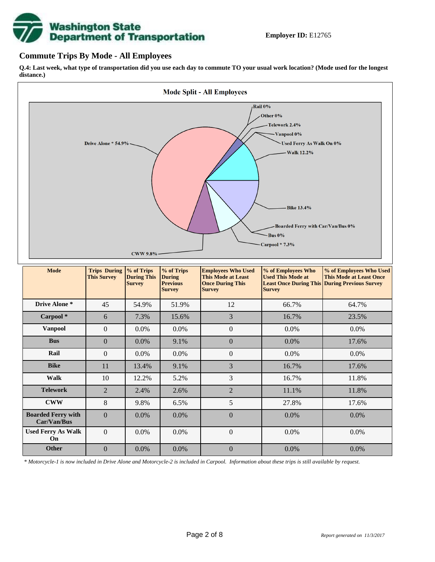

### **Commute Trips By Mode - All Employees**

**Q.4: Last week, what type of transportation did you use each day to commute TO your usual work location? (Mode used for the longest distance.)**



*\* Motorcycle-1 is now included in Drive Alone and Motorcycle-2 is included in Carpool. Information about these trips is still available by request.*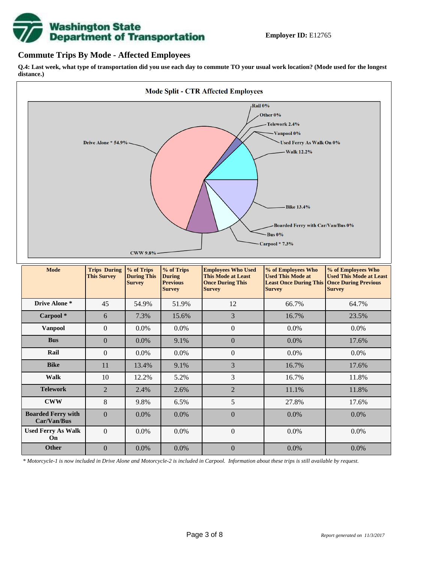

### **Commute Trips By Mode - Affected Employees**

**Q.4: Last week, what type of transportation did you use each day to commute TO your usual work location? (Mode used for the longest distance.)**



*\* Motorcycle-1 is now included in Drive Alone and Motorcycle-2 is included in Carpool. Information about these trips is still available by request.*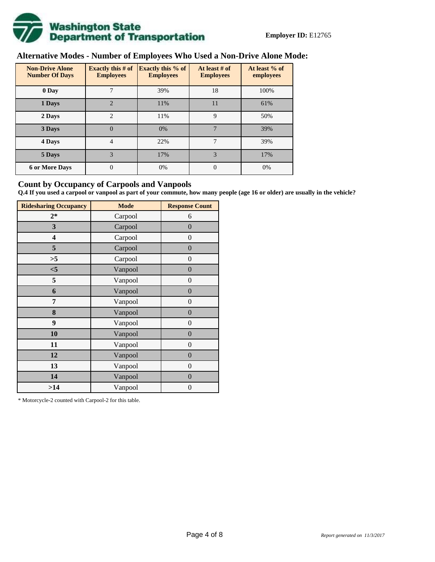

# **Alternative Modes - Number of Employees Who Used a Non-Drive Alone Mode:**

| <b>Non-Drive Alone</b><br><b>Number Of Days</b> | Exactly this $#$ of<br><b>Employees</b> | <b>Exactly this % of</b><br><b>Employees</b> | At least # of<br><b>Employees</b> | At least % of<br>employees |  |
|-------------------------------------------------|-----------------------------------------|----------------------------------------------|-----------------------------------|----------------------------|--|
| 0 Day                                           |                                         | 39%                                          | 18                                | 100%                       |  |
| 1 Days                                          | $\overline{2}$                          | 11%                                          | 11                                | 61%                        |  |
| $\overline{c}$<br>2 Days                        |                                         | 11%                                          | 9                                 | 50%                        |  |
| 3 Days                                          | $\theta$                                | 0%                                           | 7                                 | 39%                        |  |
| 4 Days                                          | 4                                       | 22%                                          | 7                                 | 39%                        |  |
| 5 Days                                          | 3                                       | 17%                                          | 3                                 | 17%                        |  |
| <b>6 or More Days</b>                           | 0                                       | 0%                                           | $\Omega$                          | 0%                         |  |

### **Count by Occupancy of Carpools and Vanpools**

**Q.4 If you used a carpool or vanpool as part of your commute, how many people (age 16 or older) are usually in the vehicle?**

| <b>Ridesharing Occupancy</b> | <b>Mode</b> | <b>Response Count</b> |
|------------------------------|-------------|-----------------------|
| $2*$                         | Carpool     | 6                     |
| 3                            | Carpool     | $\overline{0}$        |
| 4                            | Carpool     | $\boldsymbol{0}$      |
| 5                            | Carpool     | $\overline{0}$        |
| >5                           | Carpool     | $\overline{0}$        |
| < 5                          | Vanpool     | $\overline{0}$        |
| 5                            | Vanpool     | $\boldsymbol{0}$      |
| 6                            | Vanpool     | $\boldsymbol{0}$      |
| 7                            | Vanpool     | $\overline{0}$        |
| 8                            | Vanpool     | $\overline{0}$        |
| 9                            | Vanpool     | $\boldsymbol{0}$      |
| 10                           | Vanpool     | $\overline{0}$        |
| 11                           | Vanpool     | $\boldsymbol{0}$      |
| 12                           | Vanpool     | $\boldsymbol{0}$      |
| 13                           | Vanpool     | $\overline{0}$        |
| 14                           | Vanpool     | $\overline{0}$        |
| >14                          | Vanpool     | $\boldsymbol{0}$      |

\* Motorcycle-2 counted with Carpool-2 for this table.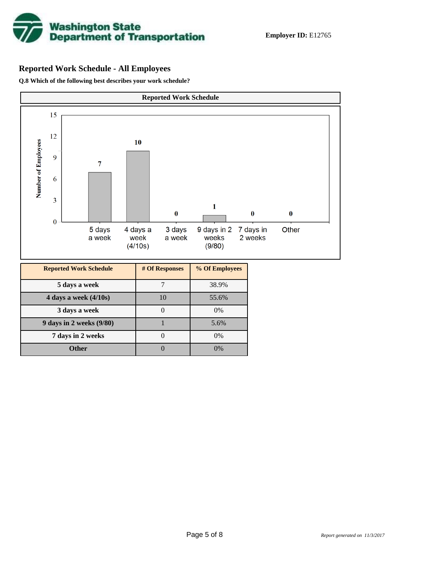

## **Reported Work Schedule - All Employees**

**Q.8 Which of the following best describes your work schedule?**

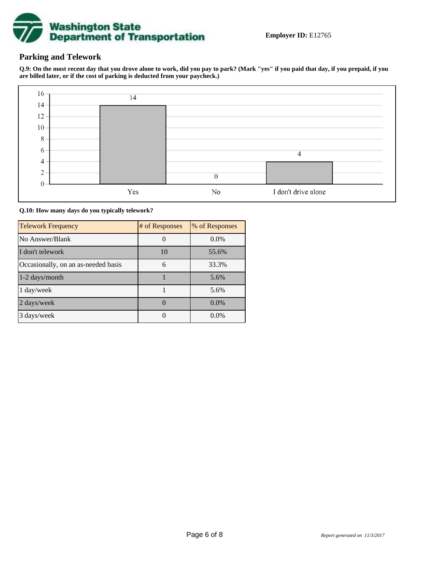

### **Parking and Telework**

**Q.9: On the most recent day that you drove alone to work, did you pay to park? (Mark "yes" if you paid that day, if you prepaid, if you are billed later, or if the cost of parking is deducted from your paycheck.)**



**Q.10: How many days do you typically telework?**

| <b>Telework Frequency</b>           | # of Responses | % of Responses |
|-------------------------------------|----------------|----------------|
| No Answer/Blank                     |                | $0.0\%$        |
| I don't telework                    | 10             | 55.6%          |
| Occasionally, on an as-needed basis | 6              | 33.3%          |
| 1-2 days/month                      |                | 5.6%           |
| 1 day/week                          |                | 5.6%           |
| 2 days/week                         |                | $0.0\%$        |
| 3 days/week                         |                | $0.0\%$        |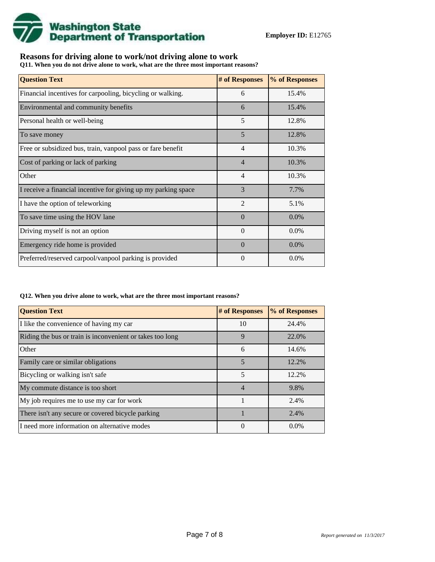

## **Reasons for driving alone to work/not driving alone to work**

**Q11. When you do not drive alone to work, what are the three most important reasons?**

| <b>Question Text</b>                                           | # of Responses | % of Responses |
|----------------------------------------------------------------|----------------|----------------|
| Financial incentives for carpooling, bicycling or walking.     | 6              | 15.4%          |
| Environmental and community benefits                           | 6              | 15.4%          |
| Personal health or well-being                                  | 5              | 12.8%          |
| To save money                                                  | 5              | 12.8%          |
| Free or subsidized bus, train, vanpool pass or fare benefit    | $\overline{4}$ | 10.3%          |
| Cost of parking or lack of parking                             | 4              | 10.3%          |
| Other                                                          | $\overline{4}$ | 10.3%          |
| I receive a financial incentive for giving up my parking space | 3              | 7.7%           |
| I have the option of teleworking                               | $\overline{2}$ | 5.1%           |
| To save time using the HOV lane                                | $\Omega$       | $0.0\%$        |
| Driving myself is not an option                                | $\Omega$       | 0.0%           |
| Emergency ride home is provided                                | $\Omega$       | 0.0%           |
| Preferred/reserved carpool/vanpool parking is provided         | 0              | $0.0\%$        |

#### **Q12. When you drive alone to work, what are the three most important reasons?**

| <b>Question Text</b>                                      | # of Responses | % of Responses |
|-----------------------------------------------------------|----------------|----------------|
| I like the convenience of having my car                   | 10             | 24.4%          |
| Riding the bus or train is inconvenient or takes too long | 9              | 22.0%          |
| Other                                                     | 6              | 14.6%          |
| Family care or similar obligations                        | 5              | 12.2%          |
| Bicycling or walking isn't safe                           | 5              | 12.2%          |
| My commute distance is too short                          | $\overline{4}$ | 9.8%           |
| My job requires me to use my car for work                 |                | 2.4%           |
| There isn't any secure or covered bicycle parking         |                | 2.4%           |
| I need more information on alternative modes              | 0              | $0.0\%$        |